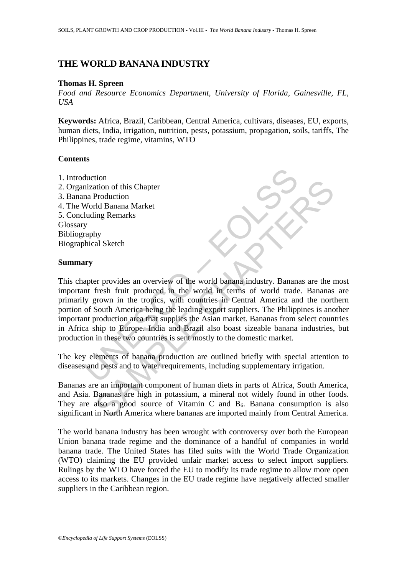# **THE WORLD BANANA INDUSTRY**

#### **Thomas H. Spreen**

*Food and Resource Economics Department, University of Florida, Gainesville, FL, USA* 

**Keywords:** Africa, Brazil, Caribbean, Central America, cultivars, diseases, EU, exports, human diets, India, irrigation, nutrition, pests, potassium, propagation, soils, tariffs, The Philippines, trade regime, vitamins, WTO

## **Contents**

- 1. Introduction
- 2. Organization of this Chapter
- 3. Banana Production
- 4. The World Banana Market
- 5. Concluding Remarks Glossary Bibliography

Biographical Sketch

## **Summary**

duction<br>
mization of this Chapter<br>
ma Production<br>
World Banana Market<br>
luding Remarks<br>
y<br>
y<br>
apter provides an overview of the world banana industry. Banana<br>
nt fresh fruit produced in the world in terms of world trade<br>
y tion<br>ation of this Chapter<br>Production<br>The Chapter<br>Theoduction<br>of this Chapter<br>Trovides an overview of the world band industry. Bananas are the<br>responsible and converge in the world by the mean of world trade. Bananas<br>from This chapter provides an overview of the world banana industry. Bananas are the most important fresh fruit produced in the world in terms of world trade. Bananas are primarily grown in the tropics, with countries in Central America and the northern portion of South America being the leading export suppliers. The Philippines is another important production area that supplies the Asian market. Bananas from select countries in Africa ship to Europe. India and Brazil also boast sizeable banana industries, but production in these two countries is sent mostly to the domestic market.

The key elements of banana production are outlined briefly with special attention to diseases and pests and to water requirements, including supplementary irrigation.

Bananas are an important component of human diets in parts of Africa, South America, and Asia. Bananas are high in potassium, a mineral not widely found in other foods. They are also a good source of Vitamin C and  $B<sub>6</sub>$ . Banana consumption is also significant in North America where bananas are imported mainly from Central America.

The world banana industry has been wrought with controversy over both the European Union banana trade regime and the dominance of a handful of companies in world banana trade. The United States has filed suits with the World Trade Organization (WTO) claiming the EU provided unfair market access to select import suppliers. Rulings by the WTO have forced the EU to modify its trade regime to allow more open access to its markets. Changes in the EU trade regime have negatively affected smaller suppliers in the Caribbean region.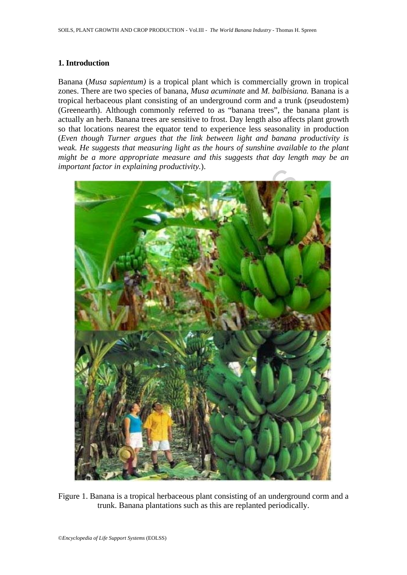## **1. Introduction**

Banana (*Musa sapientum)* is a tropical plant which is commercially grown in tropical zones. There are two species of banana, *Musa acuminate* and *M. balbisiana.* Banana is a tropical herbaceous plant consisting of an underground corm and a trunk (pseudostem) (Greenearth). Although commonly referred to as "banana trees", the banana plant is actually an herb. Banana trees are sensitive to frost. Day length also affects plant growth so that locations nearest the equator tend to experience less seasonality in production (*Even though Turner argues that the link between light and banana productivity is weak. He suggests that measuring light as the hours of sunshine available to the plant might be a more appropriate measure and this suggests that day length may be an important factor in explaining productivity.*).



Figure 1. Banana is a tropical herbaceous plant consisting of an underground corm and a trunk. Banana plantations such as this are replanted periodically.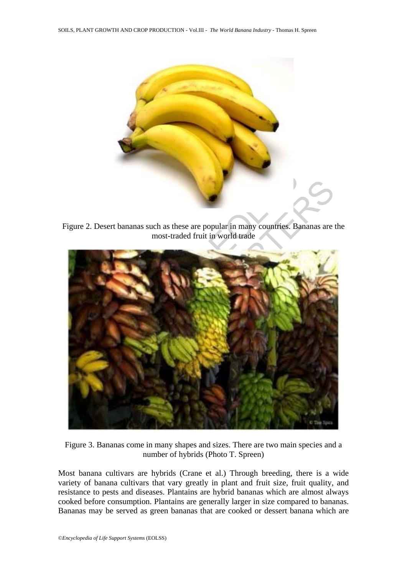

Figure 2. Desert bananas such as these are popular in many countries. Bananas are the most-traded fruit in world trade



Figure 3. Bananas come in many shapes and sizes. There are two main species and a number of hybrids (Photo T. Spreen)

Most banana cultivars are hybrids (Crane et al.) Through breeding, there is a wide variety of banana cultivars that vary greatly in plant and fruit size, fruit quality, and resistance to pests and diseases. Plantains are hybrid bananas which are almost always cooked before consumption. Plantains are generally larger in size compared to bananas. Bananas may be served as green bananas that are cooked or dessert banana which are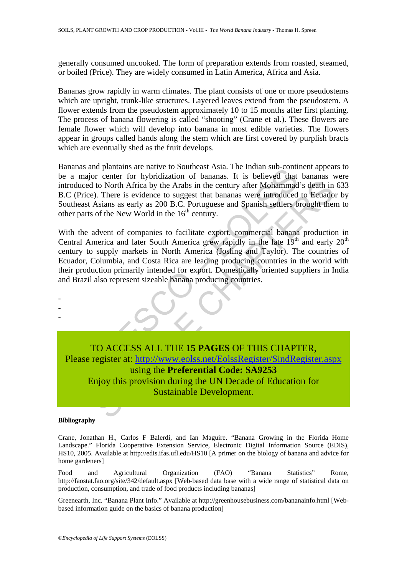generally consumed uncooked. The form of preparation extends from roasted, steamed, or boiled (Price). They are widely consumed in Latin America, Africa and Asia.

Bananas grow rapidly in warm climates. The plant consists of one or more pseudostems which are upright, trunk-like structures. Layered leaves extend from the pseudostem. A flower extends from the pseudostem approximately 10 to 15 months after first planting. The process of banana flowering is called "shooting" (Crane et al.). These flowers are female flower which will develop into banana in most edible varieties. The flowers appear in groups called hands along the stem which are first covered by purplish bracts which are eventually shed as the fruit develops.

Bananas and plantains are native to Southeast Asia. The Indian sub-continent appears to be a major center for hybridization of bananas. It is believed that bananas were introduced to North Africa by the Arabs in the century after Mohammad's death in 633 B.C (Price). There is evidence to suggest that bananas were introduced to Ecuador by Southeast Asians as early as 200 B.C. Portuguese and Spanish settlers brought them to other parts of the New World in the  $16<sup>th</sup>$  century.

and plantams are lattive to soluticals. Asia. The mutan sub-command and plantams are lattive of the Arabs in the century after Mohammad<br>ice). There is evidence to suggest that bananas. It is believed that<br>eed to North Afri With the advent of companies to facilitate export, commercial banana production in Central America and later South America grew rapidly in the late  $19<sup>th</sup>$  and early  $20<sup>th</sup>$ century to supply markets in North America (Josling and Taylor). The countries of Ecuador, Columbia, and Costa Rica are leading producing countries in the world with their production primarily intended for export. Domestically oriented suppliers in India and Brazil also represent sizeable banana producing countries.



#### **Bibliography**

- - -

Crane, Jonathan H., Carlos F Balerdi, and Ian Maguire. "Banana Growing in the Florida Home Landscape." Florida Cooperative Extension Service, Electronic Digital Information Source (EDIS), HS10, 2005. Available at http://edis.ifas.ufl.edu/HS10 [A primer on the biology of banana and advice for home gardeners]

Food and Agricultural Organization (FAO) "Banana Statistics" Rome, http://faostat.fao.org/site/342/default.aspx [Web-based data base with a wide range of statistical data on production, consumption, and trade of food products including bananas]

Greenearth, Inc. "Banana Plant Info." Available at http://greenhousebusiness.com/bananainfo.html [Webbased information guide on the basics of banana production]